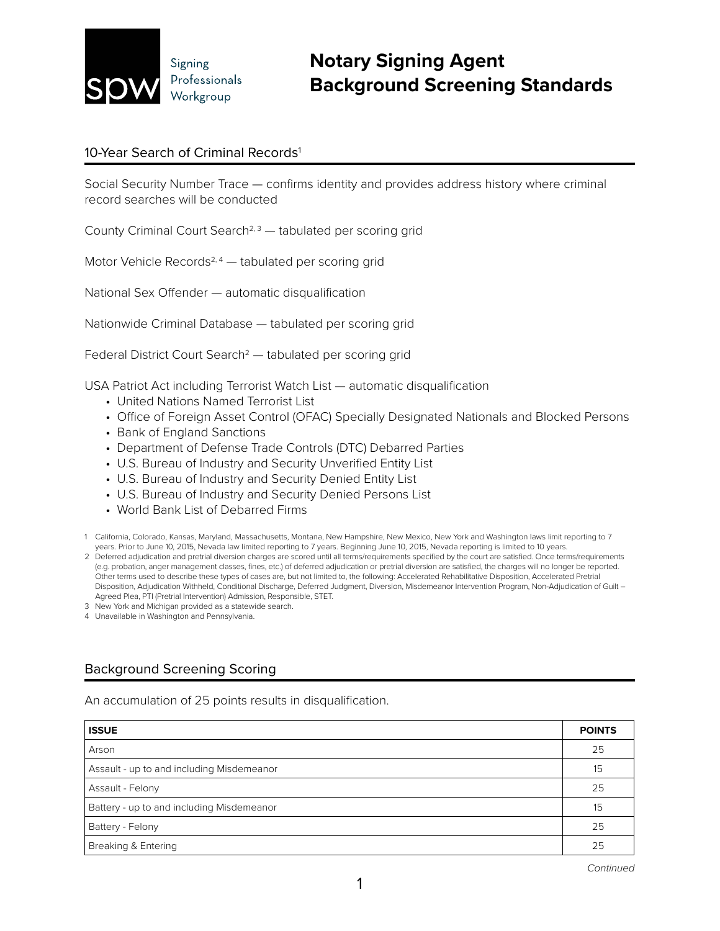

Signing Professionals Workgroup

## 10-Year Search of Criminal Records<sup>1</sup>

Social Security Number Trace — confirms identity and provides address history where criminal record searches will be conducted

County Criminal Court Search<sup>2, 3</sup> — tabulated per scoring grid

Motor Vehicle Records<sup>2, 4</sup> — tabulated per scoring grid

National Sex Offender — automatic disqualification

Nationwide Criminal Database — tabulated per scoring grid

Federal District Court Search<sup>2</sup>  $-$  tabulated per scoring grid

USA Patriot Act including Terrorist Watch List — automatic disqualification

- United Nations Named Terrorist List
- Office of Foreign Asset Control (OFAC) Specially Designated Nationals and Blocked Persons
- Bank of England Sanctions
- Department of Defense Trade Controls (DTC) Debarred Parties
- U.S. Bureau of Industry and Security Unverified Entity List
- U.S. Bureau of Industry and Security Denied Entity List
- U.S. Bureau of Industry and Security Denied Persons List
- World Bank List of Debarred Firms

1 California, Colorado, Kansas, Maryland, Massachusetts, Montana, New Hampshire, New Mexico, New York and Washington laws limit reporting to 7 years. Prior to June 10, 2015, Nevada law limited reporting to 7 years. Beginning June 10, 2015, Nevada reporting is limited to 10 years.

2 Deferred adjudication and pretrial diversion charges are scored until all terms/requirements specified by the court are satisfied. Once terms/requirements (e.g. probation, anger management classes, fines, etc.) of deferred adjudication or pretrial diversion are satisfied, the charges will no longer be reported. Other terms used to describe these types of cases are, but not limited to, the following: Accelerated Rehabilitative Disposition, Accelerated Pretrial Disposition, Adjudication Withheld, Conditional Discharge, Deferred Judgment, Diversion, Misdemeanor Intervention Program, Non-Adjudication of Guilt – Agreed Plea, PTI (Pretrial Intervention) Admission, Responsible, STET.

- 3 New York and Michigan provided as a statewide search.
- 4 Unavailable in Washington and Pennsylvania.

## Background Screening Scoring

An accumulation of 25 points results in disqualification.

| <b>ISSUE</b>                              | <b>POINTS</b> |
|-------------------------------------------|---------------|
| Arson                                     | 25            |
| Assault - up to and including Misdemeanor | 15            |
| Assault - Felony                          | 25            |
| Battery - up to and including Misdemeanor | 15            |
| Battery - Felony                          | 25            |
| Breaking & Entering                       | 25            |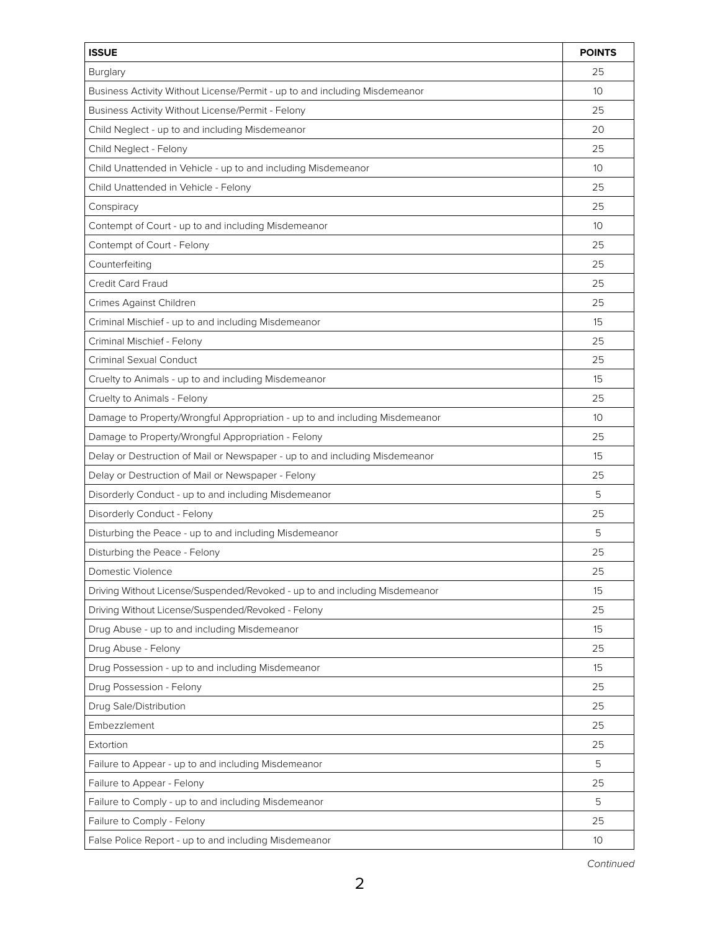| <b>ISSUE</b>                                                                | <b>POINTS</b>   |
|-----------------------------------------------------------------------------|-----------------|
| <b>Burglary</b>                                                             | 25              |
| Business Activity Without License/Permit - up to and including Misdemeanor  | 10              |
| Business Activity Without License/Permit - Felony                           | 25              |
| Child Neglect - up to and including Misdemeanor                             | 20              |
| Child Neglect - Felony                                                      | 25              |
| Child Unattended in Vehicle - up to and including Misdemeanor               | 10              |
| Child Unattended in Vehicle - Felony                                        | 25              |
| Conspiracy                                                                  | 25              |
| Contempt of Court - up to and including Misdemeanor                         | 10              |
| Contempt of Court - Felony                                                  | 25              |
| Counterfeiting                                                              | 25              |
| Credit Card Fraud                                                           | 25              |
| Crimes Against Children                                                     | 25              |
| Criminal Mischief - up to and including Misdemeanor                         | 15              |
| Criminal Mischief - Felony                                                  | 25              |
| Criminal Sexual Conduct                                                     | 25              |
| Cruelty to Animals - up to and including Misdemeanor                        | 15              |
| Cruelty to Animals - Felony                                                 | 25              |
| Damage to Property/Wrongful Appropriation - up to and including Misdemeanor | 10 <sup>°</sup> |
| Damage to Property/Wrongful Appropriation - Felony                          | 25              |
| Delay or Destruction of Mail or Newspaper - up to and including Misdemeanor | 15              |
| Delay or Destruction of Mail or Newspaper - Felony                          | 25              |
| Disorderly Conduct - up to and including Misdemeanor                        | 5               |
| Disorderly Conduct - Felony                                                 | 25              |
| Disturbing the Peace - up to and including Misdemeanor                      | 5               |
| Disturbing the Peace - Felony                                               | 25              |
| Domestic Violence                                                           | 25              |
| Driving Without License/Suspended/Revoked - up to and including Misdemeanor | 15              |
| Driving Without License/Suspended/Revoked - Felony                          | 25              |
| Drug Abuse - up to and including Misdemeanor                                | 15              |
| Drug Abuse - Felony                                                         | 25              |
| Drug Possession - up to and including Misdemeanor                           | 15              |
| Drug Possession - Felony                                                    | 25              |
| Drug Sale/Distribution                                                      | 25              |
| Embezzlement                                                                | 25              |
| Extortion                                                                   | 25              |
| Failure to Appear - up to and including Misdemeanor                         | 5               |
| Failure to Appear - Felony                                                  | 25              |
| Failure to Comply - up to and including Misdemeanor                         | 5               |
| Failure to Comply - Felony                                                  | 25              |
| False Police Report - up to and including Misdemeanor                       | 10              |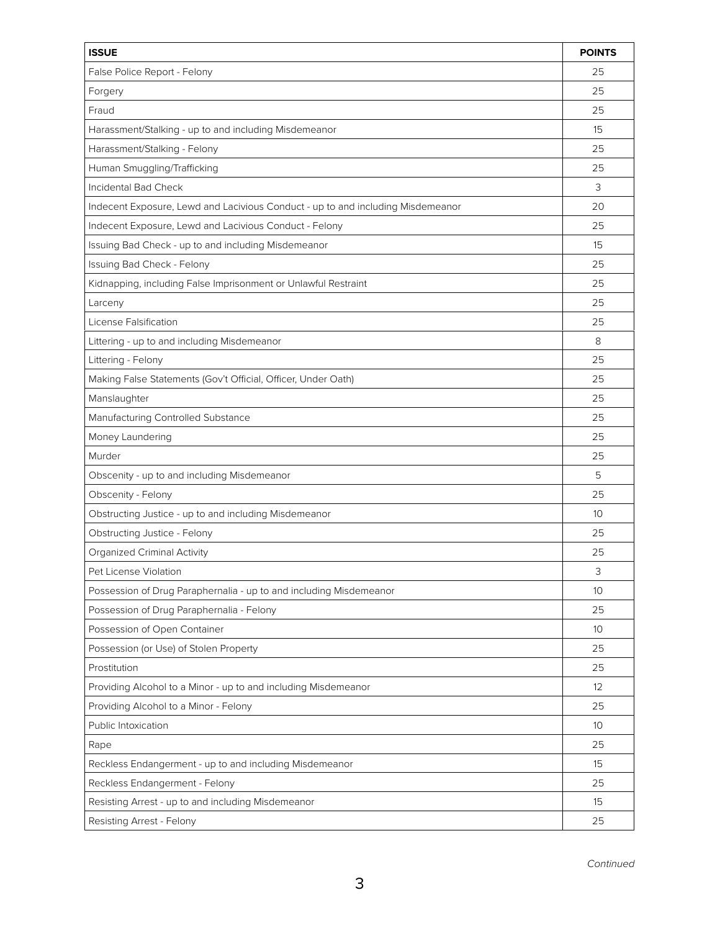| <b>ISSUE</b>                                                                    | <b>POINTS</b>   |
|---------------------------------------------------------------------------------|-----------------|
| False Police Report - Felony                                                    | 25              |
| Forgery                                                                         | 25              |
| Fraud                                                                           | 25              |
| Harassment/Stalking - up to and including Misdemeanor                           | 15              |
| Harassment/Stalking - Felony                                                    | 25              |
| Human Smuggling/Trafficking                                                     | 25              |
| Incidental Bad Check                                                            | 3               |
| Indecent Exposure, Lewd and Lacivious Conduct - up to and including Misdemeanor | 20              |
| Indecent Exposure, Lewd and Lacivious Conduct - Felony                          | 25              |
| Issuing Bad Check - up to and including Misdemeanor                             | 15              |
| Issuing Bad Check - Felony                                                      | 25              |
| Kidnapping, including False Imprisonment or Unlawful Restraint                  | 25              |
| Larceny                                                                         | 25              |
| License Falsification                                                           | 25              |
| Littering - up to and including Misdemeanor                                     | 8               |
| Littering - Felony                                                              | 25              |
| Making False Statements (Gov't Official, Officer, Under Oath)                   | 25              |
| Manslaughter                                                                    | 25              |
| Manufacturing Controlled Substance                                              | 25              |
| Money Laundering                                                                | 25              |
| Murder                                                                          | 25              |
| Obscenity - up to and including Misdemeanor                                     | 5               |
| Obscenity - Felony                                                              | 25              |
| Obstructing Justice - up to and including Misdemeanor                           | 10 <sup>2</sup> |
| Obstructing Justice - Felony                                                    | 25              |
| <b>Organized Criminal Activity</b>                                              | 25              |
| Pet License Violation                                                           | 3               |
| Possession of Drug Paraphernalia - up to and including Misdemeanor              | 10              |
| Possession of Drug Paraphernalia - Felony                                       | 25              |
| Possession of Open Container                                                    | 10              |
| Possession (or Use) of Stolen Property                                          | 25              |
| Prostitution                                                                    | 25              |
| Providing Alcohol to a Minor - up to and including Misdemeanor                  | 12              |
| Providing Alcohol to a Minor - Felony                                           | 25              |
| Public Intoxication                                                             | 10              |
| Rape                                                                            | 25              |
| Reckless Endangerment - up to and including Misdemeanor                         | 15              |
| Reckless Endangerment - Felony                                                  | 25              |
| Resisting Arrest - up to and including Misdemeanor                              | 15              |
| Resisting Arrest - Felony                                                       | 25              |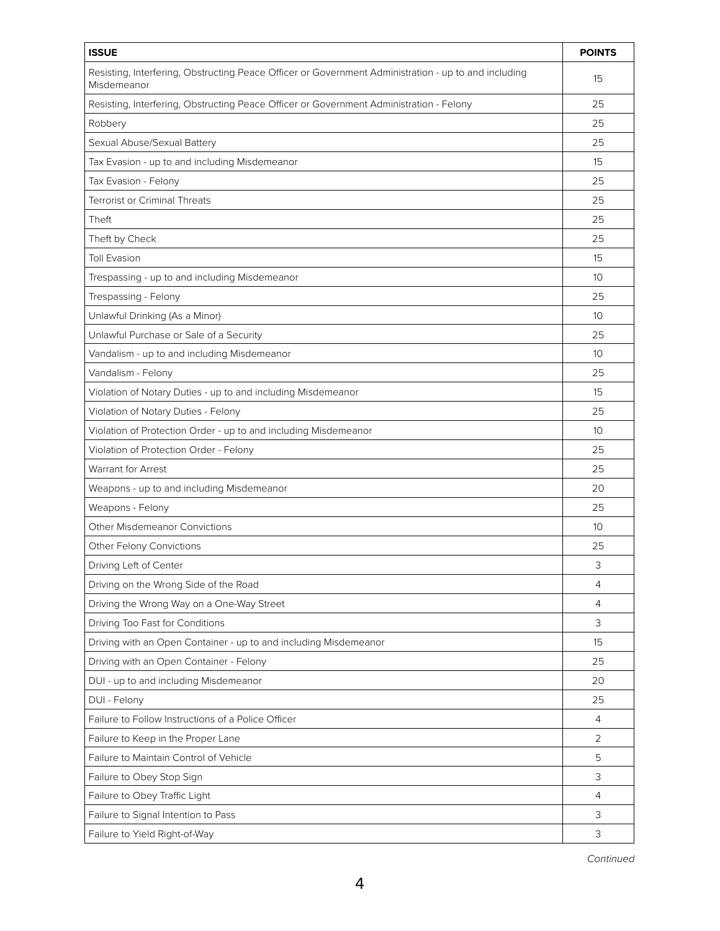| <b>ISSUE</b>                                                                                                        | <b>POINTS</b>  |
|---------------------------------------------------------------------------------------------------------------------|----------------|
| Resisting, Interfering, Obstructing Peace Officer or Government Administration - up to and including<br>Misdemeanor | 15             |
| Resisting, Interfering, Obstructing Peace Officer or Government Administration - Felony                             | 25             |
| Robbery                                                                                                             | 25             |
| Sexual Abuse/Sexual Battery                                                                                         | 25             |
| Tax Evasion - up to and including Misdemeanor                                                                       | 15             |
| Tax Evasion - Felony                                                                                                | 25             |
| <b>Terrorist or Criminal Threats</b>                                                                                | 25             |
| Theft                                                                                                               | 25             |
| Theft by Check                                                                                                      | 25             |
| <b>Toll Evasion</b>                                                                                                 | 15             |
| Trespassing - up to and including Misdemeanor                                                                       | 10             |
| Trespassing - Felony                                                                                                | 25             |
| Unlawful Drinking (As a Minor)                                                                                      | 10             |
| Unlawful Purchase or Sale of a Security                                                                             | 25             |
| Vandalism - up to and including Misdemeanor                                                                         | 10             |
| Vandalism - Felony                                                                                                  | 25             |
| Violation of Notary Duties - up to and including Misdemeanor                                                        | 15             |
| Violation of Notary Duties - Felony                                                                                 | 25             |
| Violation of Protection Order - up to and including Misdemeanor                                                     | 10             |
| Violation of Protection Order - Felony                                                                              | 25             |
| <b>Warrant for Arrest</b>                                                                                           | 25             |
| Weapons - up to and including Misdemeanor                                                                           | 20             |
| Weapons - Felony                                                                                                    | 25             |
| <b>Other Misdemeanor Convictions</b>                                                                                | 10             |
| Other Felony Convictions                                                                                            | 25             |
| Driving Left of Center                                                                                              | 3              |
| Driving on the Wrong Side of the Road                                                                               | 4              |
| Driving the Wrong Way on a One-Way Street                                                                           | 4              |
| Driving Too Fast for Conditions                                                                                     | 3              |
| Driving with an Open Container - up to and including Misdemeanor                                                    | 15             |
| Driving with an Open Container - Felony                                                                             | 25             |
| DUI - up to and including Misdemeanor                                                                               | 20             |
| DUI - Felony                                                                                                        | 25             |
| Failure to Follow Instructions of a Police Officer                                                                  | 4              |
| Failure to Keep in the Proper Lane                                                                                  | $\overline{2}$ |
| Failure to Maintain Control of Vehicle                                                                              | 5              |
| Failure to Obey Stop Sign                                                                                           | 3              |
| Failure to Obey Traffic Light                                                                                       | $\overline{4}$ |
| Failure to Signal Intention to Pass                                                                                 | 3              |
| Failure to Yield Right-of-Way                                                                                       | 3              |

*Continued*